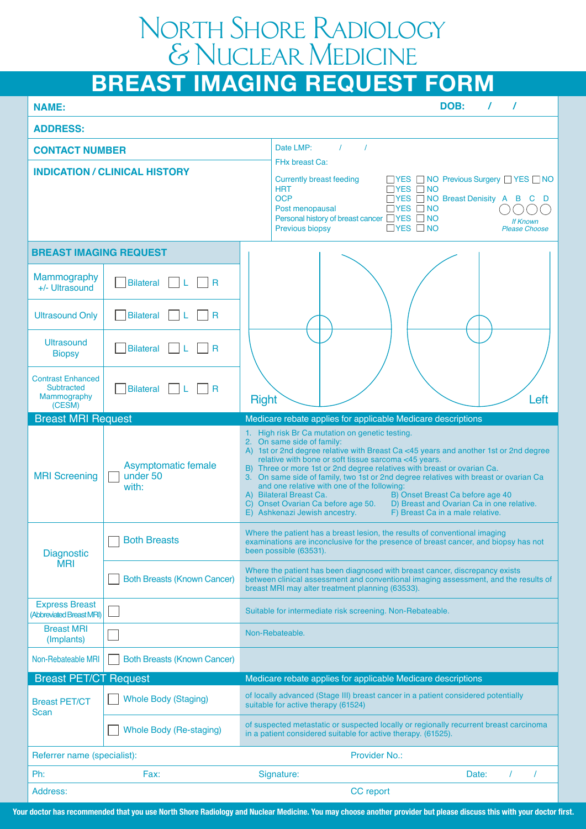## North Shore Radiology & Nuclear Medicine

# **BREAST IMAGING REQUEST FORM**

| <b>NAME:</b>                                                           |                                                           | DOB:<br>$\prime$                                                                                                                                                                                                                                                                                                                                                                                                                                                                                                                                                                                                                                                       |  |  |  |  |  |
|------------------------------------------------------------------------|-----------------------------------------------------------|------------------------------------------------------------------------------------------------------------------------------------------------------------------------------------------------------------------------------------------------------------------------------------------------------------------------------------------------------------------------------------------------------------------------------------------------------------------------------------------------------------------------------------------------------------------------------------------------------------------------------------------------------------------------|--|--|--|--|--|
| <b>ADDRESS:</b>                                                        |                                                           |                                                                                                                                                                                                                                                                                                                                                                                                                                                                                                                                                                                                                                                                        |  |  |  |  |  |
| <b>CONTACT NUMBER</b>                                                  |                                                           | $\overline{\phantom{a}}$<br>Date LMP:<br>$\prime$                                                                                                                                                                                                                                                                                                                                                                                                                                                                                                                                                                                                                      |  |  |  |  |  |
| <b>INDICATION / CLINICAL HISTORY</b>                                   |                                                           | FHx breast Ca:<br><b>Currently breast feeding</b><br>□ YES □ NO Previous Surgery □ YES □ NO<br><b>HRT</b><br>$\Box$ YES $\Box$ NO<br><b>OCP</b><br>□ YES □ NO Breast Denisity A B C D<br>$\Box$ YES $\Box$ NO<br>Post menopausal<br>Personal history of breast cancer □ YES □ NO<br><b>If Known</b><br>$\Box$ YES $\Box$ NO<br>Previous biopsy<br><b>Please Choose</b>                                                                                                                                                                                                                                                                                                 |  |  |  |  |  |
| <b>BREAST IMAGING REQUEST</b>                                          |                                                           |                                                                                                                                                                                                                                                                                                                                                                                                                                                                                                                                                                                                                                                                        |  |  |  |  |  |
| <b>Mammography</b><br>+/- Ultrasound                                   | Bilateral<br>$\overline{R}$                               |                                                                                                                                                                                                                                                                                                                                                                                                                                                                                                                                                                                                                                                                        |  |  |  |  |  |
| <b>Ultrasound Only</b>                                                 | Bilateral<br>$\overline{a}$<br>- L                        |                                                                                                                                                                                                                                                                                                                                                                                                                                                                                                                                                                                                                                                                        |  |  |  |  |  |
| <b>Ultrasound</b><br><b>Biopsy</b>                                     | Bilateral<br>$\overline{\phantom{a}}$ R                   |                                                                                                                                                                                                                                                                                                                                                                                                                                                                                                                                                                                                                                                                        |  |  |  |  |  |
| <b>Contrast Enhanced</b><br><b>Subtracted</b><br>Mammography<br>(CESM) | Bilateral<br>- I R                                        | <b>Right</b><br>Left                                                                                                                                                                                                                                                                                                                                                                                                                                                                                                                                                                                                                                                   |  |  |  |  |  |
| <b>Breast MRI Request</b>                                              |                                                           | Medicare rebate applies for applicable Medicare descriptions                                                                                                                                                                                                                                                                                                                                                                                                                                                                                                                                                                                                           |  |  |  |  |  |
| <b>MRI</b> Screening                                                   | Asymptomatic female<br>under 50<br>with:                  | 1. High risk Br Ca mutation on genetic testing.<br>2. On same side of family:<br>A) 1st or 2nd degree relative with Breast Ca <45 years and another 1st or 2nd degree<br>relative with bone or soft tissue sarcoma <45 years.<br>B) Three or more 1st or 2nd degree relatives with breast or ovarian Ca.<br>3. On same side of family, two 1st or 2nd degree relatives with breast or ovarian Ca<br>and one relative with one of the following:<br>A) Bilateral Breast Ca.<br>B) Onset Breast Ca before age 40<br>C) Onset Ovarian Ca before age 50.<br>D) Breast and Ovarian Ca in one relative.<br>E) Ashkenazi Jewish ancestry.<br>F) Breast Ca in a male relative. |  |  |  |  |  |
| <b>Diagnostic</b><br><b>MRI</b>                                        | <b>Both Breasts</b>                                       | Where the patient has a breast lesion, the results of conventional imaging<br>examinations are inconclusive for the presence of breast cancer, and biopsy has not<br>been possible (63531).                                                                                                                                                                                                                                                                                                                                                                                                                                                                            |  |  |  |  |  |
|                                                                        | <b>Both Breasts (Known Cancer)</b>                        | Where the patient has been diagnosed with breast cancer, discrepancy exists<br>between clinical assessment and conventional imaging assessment, and the results of<br>breast MRI may alter treatment planning (63533).                                                                                                                                                                                                                                                                                                                                                                                                                                                 |  |  |  |  |  |
| <b>Express Breast</b><br>(Abbreviated Breast MRI)                      | Suitable for intermediate risk screening. Non-Rebateable. |                                                                                                                                                                                                                                                                                                                                                                                                                                                                                                                                                                                                                                                                        |  |  |  |  |  |
| <b>Breast MRI</b><br>(Implants)                                        |                                                           | Non-Rebateable.                                                                                                                                                                                                                                                                                                                                                                                                                                                                                                                                                                                                                                                        |  |  |  |  |  |
| Non-Rebateable MRI                                                     | <b>Both Breasts (Known Cancer)</b>                        |                                                                                                                                                                                                                                                                                                                                                                                                                                                                                                                                                                                                                                                                        |  |  |  |  |  |
| <b>Breast PET/CT Request</b>                                           |                                                           | Medicare rebate applies for applicable Medicare descriptions                                                                                                                                                                                                                                                                                                                                                                                                                                                                                                                                                                                                           |  |  |  |  |  |
| <b>Breast PET/CT</b><br>Scan                                           | <b>Whole Body (Staging)</b>                               | of locally advanced (Stage III) breast cancer in a patient considered potentially<br>suitable for active therapy (61524)                                                                                                                                                                                                                                                                                                                                                                                                                                                                                                                                               |  |  |  |  |  |
|                                                                        | <b>Whole Body (Re-staging)</b>                            | of suspected metastatic or suspected locally or regionally recurrent breast carcinoma<br>in a patient considered suitable for active therapy. (61525).                                                                                                                                                                                                                                                                                                                                                                                                                                                                                                                 |  |  |  |  |  |
| Provider No.:<br>Referrer name (specialist):                           |                                                           |                                                                                                                                                                                                                                                                                                                                                                                                                                                                                                                                                                                                                                                                        |  |  |  |  |  |
| Ph:                                                                    | Fax:                                                      | Signature:<br>Date:                                                                                                                                                                                                                                                                                                                                                                                                                                                                                                                                                                                                                                                    |  |  |  |  |  |
| Address:                                                               |                                                           | CC report                                                                                                                                                                                                                                                                                                                                                                                                                                                                                                                                                                                                                                                              |  |  |  |  |  |